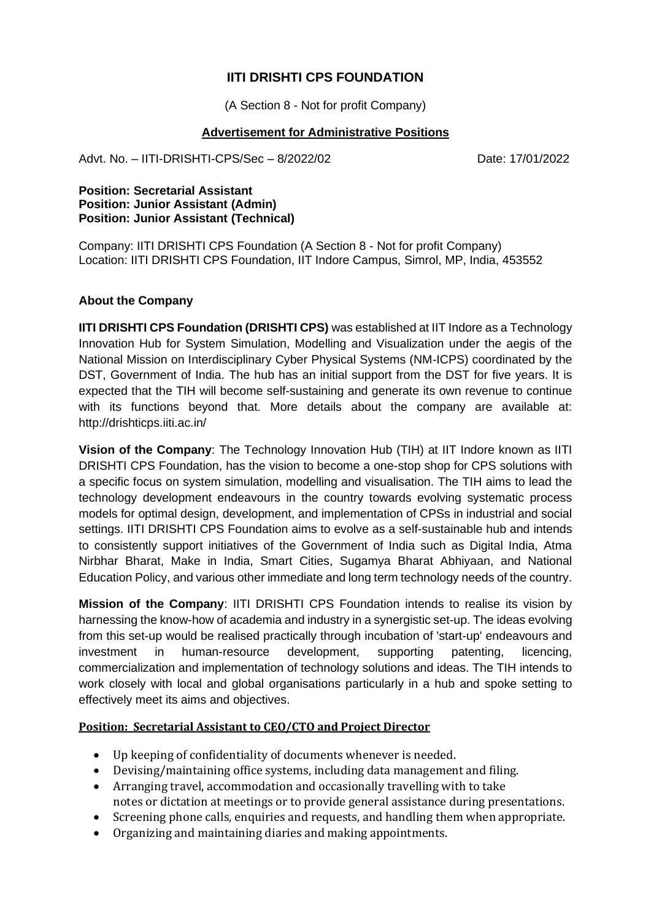# **IITI DRISHTI CPS FOUNDATION**

(A Section 8 - Not for profit Company)

#### **Advertisement for Administrative Positions**

Advt. No. – IITI-DRISHTI-CPS/Sec – 8/2022/02 Date: 17/01/2022

#### **Position: Secretarial Assistant Position: Junior Assistant (Admin) Position: Junior Assistant (Technical)**

Company: IITI DRISHTI CPS Foundation (A Section 8 - Not for profit Company) Location: IITI DRISHTI CPS Foundation, IIT Indore Campus, Simrol, MP, India, 453552

## **About the Company**

**IITI DRISHTI CPS Foundation (DRISHTI CPS)** was established at IIT Indore as a Technology Innovation Hub for System Simulation, Modelling and Visualization under the aegis of the National Mission on Interdisciplinary Cyber Physical Systems (NM-ICPS) coordinated by the DST, Government of India. The hub has an initial support from the DST for five years. It is expected that the TIH will become self-sustaining and generate its own revenue to continue with its functions beyond that. More details about the company are available at: http://drishticps.iiti.ac.in/

**Vision of the Company**: The Technology Innovation Hub (TIH) at IIT Indore known as IITI DRISHTI CPS Foundation, has the vision to become a one-stop shop for CPS solutions with a specific focus on system simulation, modelling and visualisation. The TIH aims to lead the technology development endeavours in the country towards evolving systematic process models for optimal design, development, and implementation of CPSs in industrial and social settings. IITI DRISHTI CPS Foundation aims to evolve as a self-sustainable hub and intends to consistently support initiatives of the Government of India such as Digital India, Atma Nirbhar Bharat, Make in India, Smart Cities, Sugamya Bharat Abhiyaan, and National Education Policy, and various other immediate and long term technology needs of the country.

**Mission of the Company**: IITI DRISHTI CPS Foundation intends to realise its vision by harnessing the know-how of academia and industry in a synergistic set-up. The ideas evolving from this set-up would be realised practically through incubation of 'start-up' endeavours and investment in human-resource development, supporting patenting, licencing, commercialization and implementation of technology solutions and ideas. The TIH intends to work closely with local and global organisations particularly in a hub and spoke setting to effectively meet its aims and objectives.

#### **Position: Secretarial Assistant to CEO/CTO and Project Director**

- Up keeping of confidentiality of documents whenever is needed.
- Devising/maintaining office systems, including data management and filing.
- Arranging travel, accommodation and occasionally travelling with to take notes or dictation at meetings or to provide general assistance during presentations.
- Screening phone calls, enquiries and requests, and handling them when appropriate.
- Organizing and maintaining diaries and making appointments.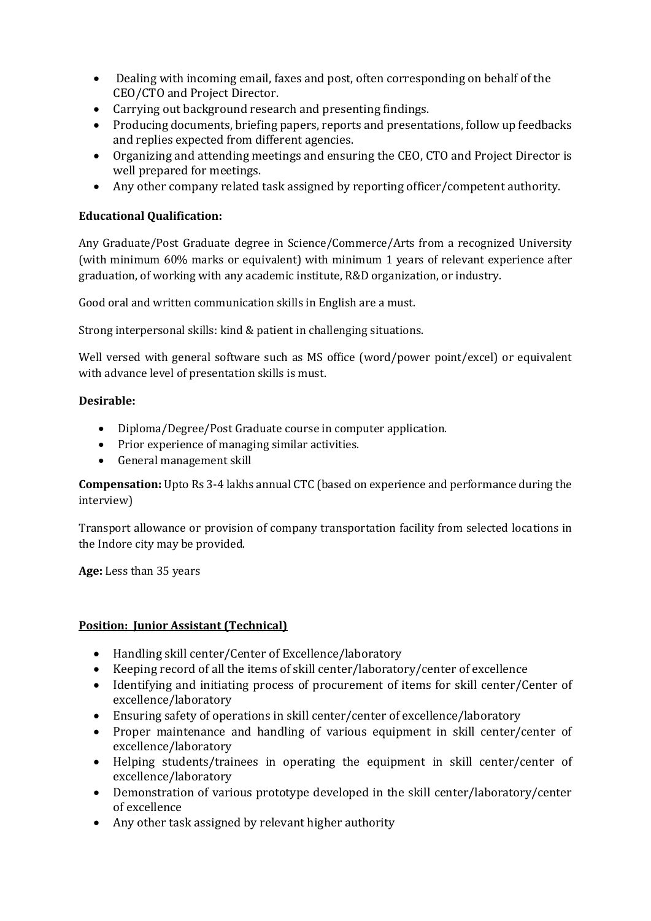- Dealing with incoming email, faxes and post, often corresponding on behalf of the CEO/CTO and Project Director.
- Carrying out background research and presenting findings.
- Producing documents, briefing papers, reports and presentations, follow up feedbacks and replies expected from different agencies.
- Organizing and attending meetings and ensuring the CEO, CTO and Project Director is well prepared for meetings.
- Any other company related task assigned by reporting officer/competent authority.

## **Educational Qualification:**

Any Graduate/Post Graduate degree in Science/Commerce/Arts from a recognized University (with minimum 60% marks or equivalent) with minimum 1 years of relevant experience after graduation, of working with any academic institute, R&D organization, or industry.

Good oral and written communication skills in English are a must.

Strong interpersonal skills: kind & patient in challenging situations.

Well versed with general software such as MS office (word/power point/excel) or equivalent with advance level of presentation skills is must.

## **Desirable:**

- Diploma/Degree/Post Graduate course in computer application.
- Prior experience of managing similar activities.
- General management skill

**Compensation:** Upto Rs 3-4 lakhs annual CTC (based on experience and performance during the interview)

Transport allowance or provision of company transportation facility from selected locations in the Indore city may be provided.

**Age:** Less than 35 years

#### **Position: Junior Assistant (Technical)**

- Handling skill center/Center of Excellence/laboratory
- Keeping record of all the items of skill center/laboratory/center of excellence
- Identifying and initiating process of procurement of items for skill center/Center of excellence/laboratory
- Ensuring safety of operations in skill center/center of excellence/laboratory
- Proper maintenance and handling of various equipment in skill center/center of excellence/laboratory
- Helping students/trainees in operating the equipment in skill center/center of excellence/laboratory
- Demonstration of various prototype developed in the skill center/laboratory/center of excellence
- Any other task assigned by relevant higher authority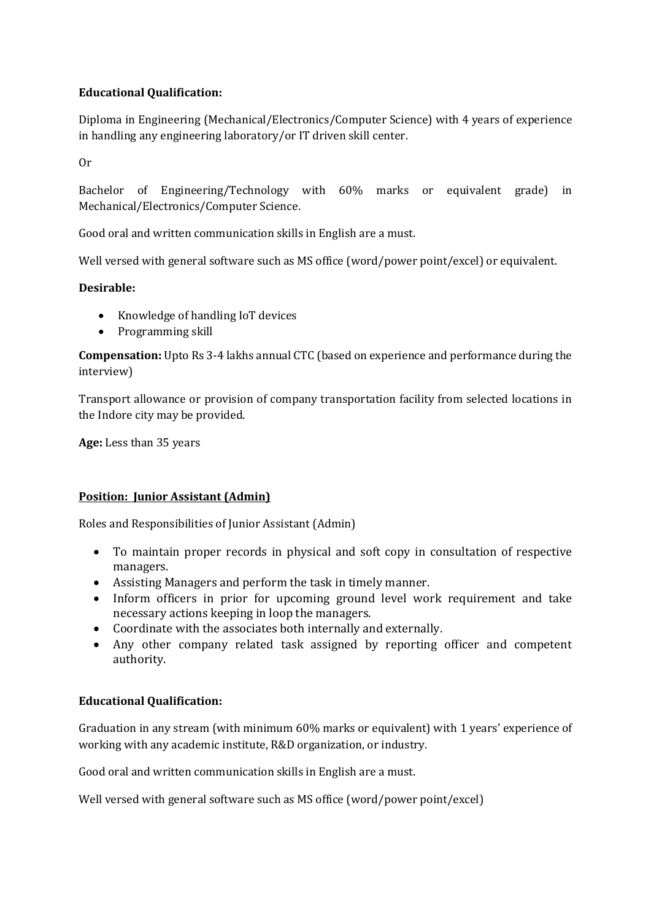# **Educational Qualification:**

Diploma in Engineering (Mechanical/Electronics/Computer Science) with 4 years of experience in handling any engineering laboratory/or IT driven skill center.

Or

Bachelor of Engineering/Technology with 60% marks or equivalent grade) in Mechanical/Electronics/Computer Science.

Good oral and written communication skills in English are a must.

Well versed with general software such as MS office (word/power point/excel) or equivalent.

## **Desirable:**

- Knowledge of handling IoT devices
- Programming skill

**Compensation:** Upto Rs 3-4 lakhs annual CTC (based on experience and performance during the interview)

Transport allowance or provision of company transportation facility from selected locations in the Indore city may be provided.

**Age:** Less than 35 years

#### **Position: Junior Assistant (Admin)**

Roles and Responsibilities of Junior Assistant (Admin)

- To maintain proper records in physical and soft copy in consultation of respective managers.
- Assisting Managers and perform the task in timely manner.
- Inform officers in prior for upcoming ground level work requirement and take necessary actions keeping in loop the managers.
- Coordinate with the associates both internally and externally.
- Any other company related task assigned by reporting officer and competent authority.

## **Educational Qualification:**

Graduation in any stream (with minimum 60% marks or equivalent) with 1 years' experience of working with any academic institute, R&D organization, or industry.

Good oral and written communication skills in English are a must.

Well versed with general software such as MS office (word/power point/excel)